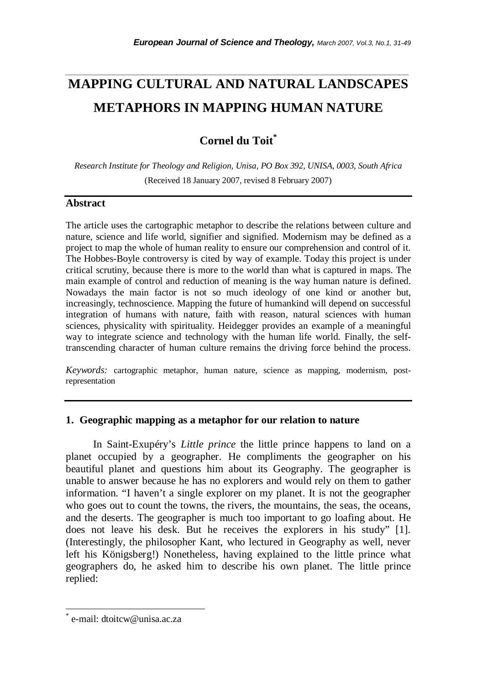# **MAPPING CULTURAL AND NATURAL LANDSCAPES METAPHORS IN MAPPING HUMAN NATURE**

*\_\_\_\_\_\_\_\_\_\_\_\_\_\_\_\_\_\_\_\_\_\_\_\_\_\_\_\_\_\_\_\_\_\_\_\_\_\_\_\_\_\_\_\_\_\_\_\_\_\_\_\_\_\_\_\_\_\_\_\_\_\_\_\_\_\_\_\_\_\_\_* 

**Cornel du Toit\***

*Research Institute for Theology and Religion, Unisa, PO Box 392, UNISA, 0003, South Africa*  (Received 18 January 2007, revised 8 February 2007)

### **Abstract**

The article uses the cartographic metaphor to describe the relations between culture and nature, science and life world, signifier and signified. Modernism may be defined as a project to map the whole of human reality to ensure our comprehension and control of it. The Hobbes-Boyle controversy is cited by way of example. Today this project is under critical scrutiny, because there is more to the world than what is captured in maps. The main example of control and reduction of meaning is the way human nature is defined. Nowadays the main factor is not so much ideology of one kind or another but, increasingly, technoscience. Mapping the future of humankind will depend on successful integration of humans with nature, faith with reason, natural sciences with human sciences, physicality with spirituality. Heidegger provides an example of a meaningful way to integrate science and technology with the human life world. Finally, the selftranscending character of human culture remains the driving force behind the process.

*Keywords:* cartographic metaphor, human nature, science as mapping, modernism, postrepresentation

#### **1. Geographic mapping as a metaphor for our relation to nature**

In Saint-Exupéry's *Little prince* the little prince happens to land on a planet occupied by a geographer. He compliments the geographer on his beautiful planet and questions him about its Geography. The geographer is unable to answer because he has no explorers and would rely on them to gather information. "I haven't a single explorer on my planet. It is not the geographer who goes out to count the towns, the rivers, the mountains, the seas, the oceans, and the deserts. The geographer is much too important to go loafing about. He does not leave his desk. But he receives the explorers in his study" [1]. (Interestingly, the philosopher Kant, who lectured in Geography as well, never left his Königsberg!) Nonetheless, having explained to the little prince what geographers do, he asked him to describe his own planet. The little prince replied:

l

<sup>\*</sup> e-mail: dtoitcw@unisa.ac.za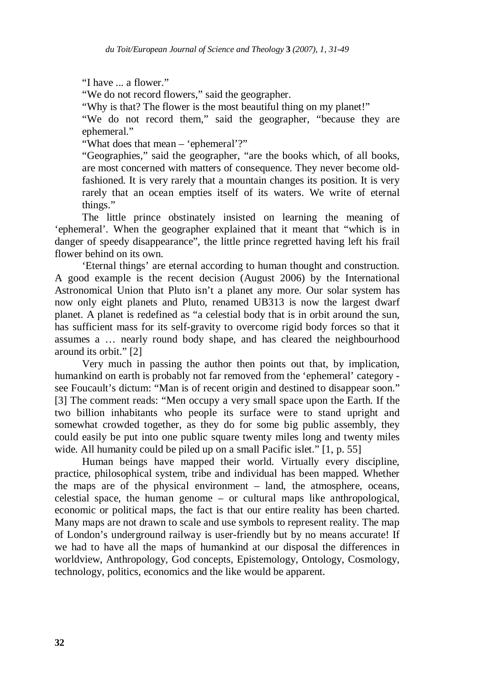"I have ... a flower."

"We do not record flowers," said the geographer.

"Why is that? The flower is the most beautiful thing on my planet!"

"We do not record them," said the geographer, "because they are ephemeral."

"What does that mean – 'ephemeral'?"

"Geographies," said the geographer, "are the books which, of all books, are most concerned with matters of consequence. They never become oldfashioned. It is very rarely that a mountain changes its position. It is very rarely that an ocean empties itself of its waters. We write of eternal things."

The little prince obstinately insisted on learning the meaning of 'ephemeral'. When the geographer explained that it meant that "which is in danger of speedy disappearance", the little prince regretted having left his frail flower behind on its own.

 'Eternal things' are eternal according to human thought and construction. A good example is the recent decision (August 2006) by the International Astronomical Union that Pluto isn't a planet any more. Our solar system has now only eight planets and Pluto, renamed UB313 is now the largest dwarf planet. A planet is redefined as "a celestial body that is in orbit around the sun, has sufficient mass for its self-gravity to overcome rigid body forces so that it assumes a … nearly round body shape, and has cleared the neighbourhood around its orbit." [2]

Very much in passing the author then points out that, by implication, humankind on earth is probably not far removed from the 'ephemeral' category see Foucault's dictum: "Man is of recent origin and destined to disappear soon." [3] The comment reads: "Men occupy a very small space upon the Earth. If the two billion inhabitants who people its surface were to stand upright and somewhat crowded together, as they do for some big public assembly, they could easily be put into one public square twenty miles long and twenty miles wide. All humanity could be piled up on a small Pacific islet." [1, p. 55]

Human beings have mapped their world. Virtually every discipline, practice, philosophical system, tribe and individual has been mapped. Whether the maps are of the physical environment – land, the atmosphere, oceans, celestial space, the human genome – or cultural maps like anthropological, economic or political maps, the fact is that our entire reality has been charted. Many maps are not drawn to scale and use symbols to represent reality. The map of London's underground railway is user-friendly but by no means accurate! If we had to have all the maps of humankind at our disposal the differences in worldview, Anthropology, God concepts, Epistemology, Ontology, Cosmology, technology, politics, economics and the like would be apparent.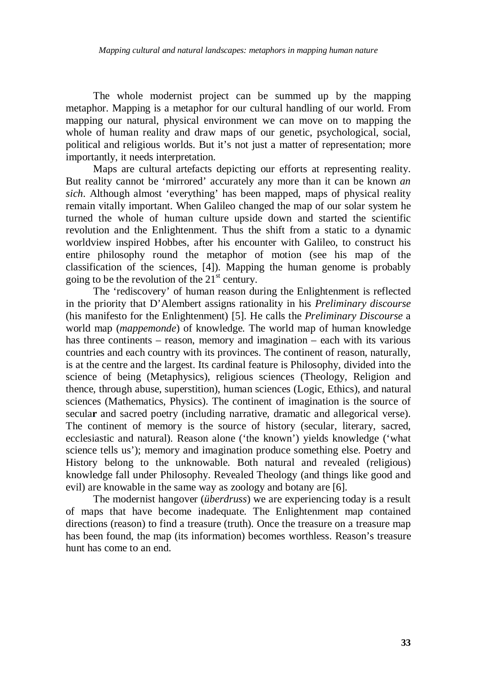The whole modernist project can be summed up by the mapping metaphor. Mapping is a metaphor for our cultural handling of our world. From mapping our natural, physical environment we can move on to mapping the whole of human reality and draw maps of our genetic, psychological, social, political and religious worlds. But it's not just a matter of representation; more importantly, it needs interpretation.

Maps are cultural artefacts depicting our efforts at representing reality. But reality cannot be 'mirrored' accurately any more than it can be known *an sich*. Although almost 'everything' has been mapped, maps of physical reality remain vitally important. When Galileo changed the map of our solar system he turned the whole of human culture upside down and started the scientific revolution and the Enlightenment. Thus the shift from a static to a dynamic worldview inspired Hobbes, after his encounter with Galileo, to construct his entire philosophy round the metaphor of motion (see his map of the classification of the sciences, [4]). Mapping the human genome is probably going to be the revolution of the  $21<sup>st</sup>$  century.

The 'rediscovery' of human reason during the Enlightenment is reflected in the priority that D'Alembert assigns rationality in his *Preliminary discourse* (his manifesto for the Enlightenment) [5]. He calls the *Preliminary Discourse* a world map (*mappemonde*) of knowledge. The world map of human knowledge has three continents – reason, memory and imagination – each with its various countries and each country with its provinces. The continent of reason, naturally, is at the centre and the largest. Its cardinal feature is Philosophy, divided into the science of being (Metaphysics), religious sciences (Theology, Religion and thence, through abuse, superstition), human sciences (Logic, Ethics), and natural sciences (Mathematics, Physics). The continent of imagination is the source of secula**r** and sacred poetry (including narrative, dramatic and allegorical verse). The continent of memory is the source of history (secular, literary, sacred, ecclesiastic and natural). Reason alone ('the known') yields knowledge ('what science tells us'); memory and imagination produce something else. Poetry and History belong to the unknowable. Both natural and revealed (religious) knowledge fall under Philosophy. Revealed Theology (and things like good and evil) are knowable in the same way as zoology and botany are [6].

The modernist hangover (*überdruss*) we are experiencing today is a result of maps that have become inadequate. The Enlightenment map contained directions (reason) to find a treasure (truth). Once the treasure on a treasure map has been found, the map (its information) becomes worthless. Reason's treasure hunt has come to an end.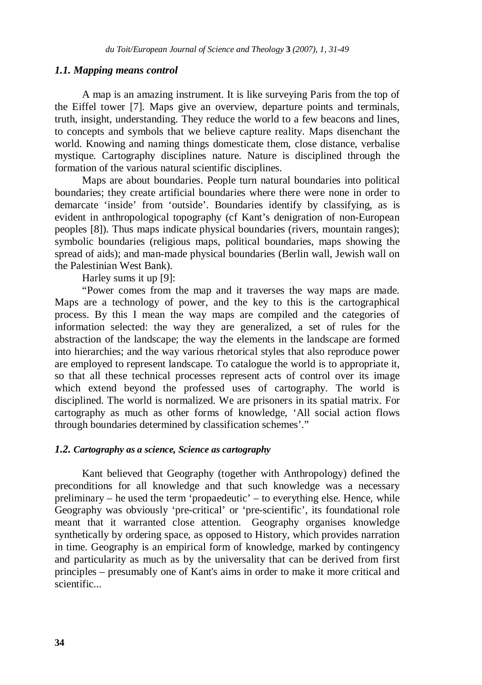#### *1.1. Mapping means control*

 A map is an amazing instrument. It is like surveying Paris from the top of the Eiffel tower [7]. Maps give an overview, departure points and terminals, truth, insight, understanding. They reduce the world to a few beacons and lines, to concepts and symbols that we believe capture reality. Maps disenchant the world. Knowing and naming things domesticate them, close distance, verbalise mystique. Cartography disciplines nature. Nature is disciplined through the formation of the various natural scientific disciplines.

 Maps are about boundaries. People turn natural boundaries into political boundaries; they create artificial boundaries where there were none in order to demarcate 'inside' from 'outside'. Boundaries identify by classifying, as is evident in anthropological topography (cf Kant's denigration of non-European peoples [8]). Thus maps indicate physical boundaries (rivers, mountain ranges); symbolic boundaries (religious maps, political boundaries, maps showing the spread of aids); and man-made physical boundaries (Berlin wall, Jewish wall on the Palestinian West Bank).

Harley sums it up [9]:

 "Power comes from the map and it traverses the way maps are made. Maps are a technology of power, and the key to this is the cartographical process. By this I mean the way maps are compiled and the categories of information selected: the way they are generalized, a set of rules for the abstraction of the landscape; the way the elements in the landscape are formed into hierarchies; and the way various rhetorical styles that also reproduce power are employed to represent landscape. To catalogue the world is to appropriate it, so that all these technical processes represent acts of control over its image which extend beyond the professed uses of cartography. The world is disciplined. The world is normalized. We are prisoners in its spatial matrix. For cartography as much as other forms of knowledge, 'All social action flows through boundaries determined by classification schemes'."

#### *1.2. Cartography as a science, Science as cartography*

Kant believed that Geography (together with Anthropology) defined the preconditions for all knowledge and that such knowledge was a necessary preliminary – he used the term 'propaedeutic' – to everything else. Hence, while Geography was obviously 'pre-critical' or 'pre-scientific', its foundational role meant that it warranted close attention. Geography organises knowledge synthetically by ordering space, as opposed to History, which provides narration in time. Geography is an empirical form of knowledge, marked by contingency and particularity as much as by the universality that can be derived from first principles – presumably one of Kant's aims in order to make it more critical and scientific...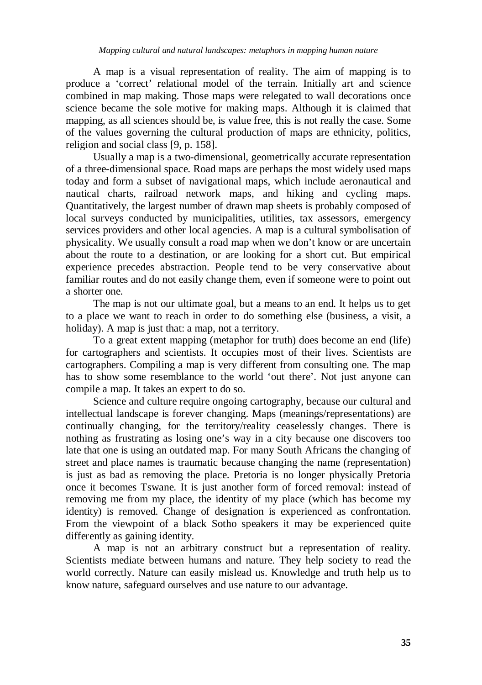A map is a visual representation of reality. The aim of mapping is to produce a 'correct' relational model of the terrain. Initially art and science combined in map making. Those maps were relegated to wall decorations once science became the sole motive for making maps. Although it is claimed that mapping, as all sciences should be, is value free, this is not really the case. Some of the values governing the cultural production of maps are ethnicity, politics, religion and social class [9, p. 158].

 Usually a map is a two-dimensional, geometrically accurate representation of a three-dimensional space. Road maps are perhaps the most widely used maps today and form a subset of navigational maps, which include aeronautical and nautical charts, railroad network maps, and hiking and cycling maps. Quantitatively, the largest number of drawn map sheets is probably composed of local surveys conducted by municipalities, utilities, tax assessors, emergency services providers and other local agencies. A map is a cultural symbolisation of physicality. We usually consult a road map when we don't know or are uncertain about the route to a destination, or are looking for a short cut. But empirical experience precedes abstraction. People tend to be very conservative about familiar routes and do not easily change them, even if someone were to point out a shorter one.

 The map is not our ultimate goal, but a means to an end. It helps us to get to a place we want to reach in order to do something else (business, a visit, a holiday). A map is just that: a map, not a territory.

 To a great extent mapping (metaphor for truth) does become an end (life) for cartographers and scientists. It occupies most of their lives. Scientists are cartographers. Compiling a map is very different from consulting one. The map has to show some resemblance to the world 'out there'. Not just anyone can compile a map. It takes an expert to do so.

Science and culture require ongoing cartography, because our cultural and intellectual landscape is forever changing. Maps (meanings/representations) are continually changing, for the territory/reality ceaselessly changes. There is nothing as frustrating as losing one's way in a city because one discovers too late that one is using an outdated map. For many South Africans the changing of street and place names is traumatic because changing the name (representation) is just as bad as removing the place. Pretoria is no longer physically Pretoria once it becomes Tswane. It is just another form of forced removal: instead of removing me from my place, the identity of my place (which has become my identity) is removed. Change of designation is experienced as confrontation. From the viewpoint of a black Sotho speakers it may be experienced quite differently as gaining identity.

 A map is not an arbitrary construct but a representation of reality. Scientists mediate between humans and nature. They help society to read the world correctly. Nature can easily mislead us. Knowledge and truth help us to know nature, safeguard ourselves and use nature to our advantage.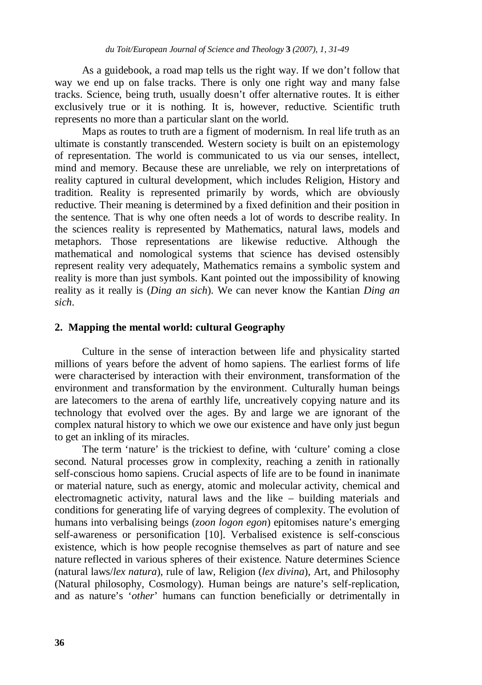As a guidebook, a road map tells us the right way. If we don't follow that way we end up on false tracks. There is only one right way and many false tracks. Science, being truth, usually doesn't offer alternative routes. It is either exclusively true or it is nothing. It is, however, reductive. Scientific truth represents no more than a particular slant on the world.

 Maps as routes to truth are a figment of modernism. In real life truth as an ultimate is constantly transcended. Western society is built on an epistemology of representation. The world is communicated to us via our senses, intellect, mind and memory. Because these are unreliable, we rely on interpretations of reality captured in cultural development, which includes Religion, History and tradition. Reality is represented primarily by words, which are obviously reductive. Their meaning is determined by a fixed definition and their position in the sentence. That is why one often needs a lot of words to describe reality. In the sciences reality is represented by Mathematics, natural laws, models and metaphors. Those representations are likewise reductive. Although the mathematical and nomological systems that science has devised ostensibly represent reality very adequately, Mathematics remains a symbolic system and reality is more than just symbols. Kant pointed out the impossibility of knowing reality as it really is (*Ding an sich*). We can never know the Kantian *Ding an sich*.

#### **2. Mapping the mental world: cultural Geography**

Culture in the sense of interaction between life and physicality started millions of years before the advent of homo sapiens. The earliest forms of life were characterised by interaction with their environment, transformation of the environment and transformation by the environment. Culturally human beings are latecomers to the arena of earthly life, uncreatively copying nature and its technology that evolved over the ages. By and large we are ignorant of the complex natural history to which we owe our existence and have only just begun to get an inkling of its miracles.

The term 'nature' is the trickiest to define, with 'culture' coming a close second. Natural processes grow in complexity, reaching a zenith in rationally self-conscious homo sapiens. Crucial aspects of life are to be found in inanimate or material nature, such as energy, atomic and molecular activity, chemical and electromagnetic activity, natural laws and the like – building materials and conditions for generating life of varying degrees of complexity. The evolution of humans into verbalising beings (*zoon logon egon*) epitomises nature's emerging self-awareness or personification [10]. Verbalised existence is self-conscious existence, which is how people recognise themselves as part of nature and see nature reflected in various spheres of their existence. Nature determines Science (natural laws/*lex natura*), rule of law, Religion (*lex divina*), Art, and Philosophy (Natural philosophy, Cosmology). Human beings are nature's self-replication, and as nature's '*other*' humans can function beneficially or detrimentally in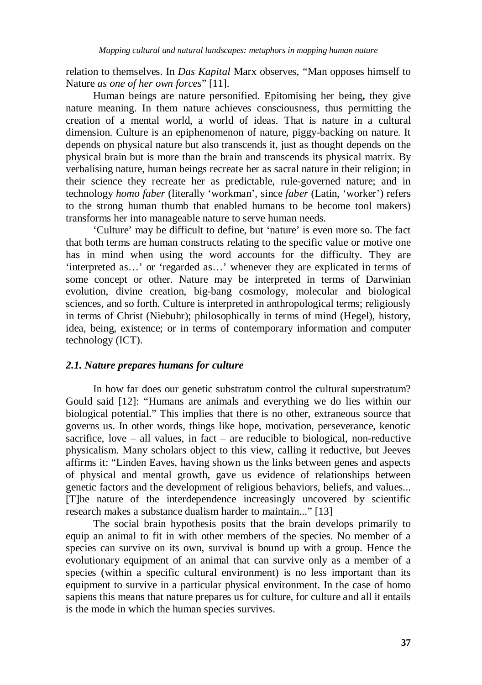relation to themselves. In *Das Kapital* Marx observes, "Man opposes himself to Nature *as one of her own forces*" [11].

Human beings are nature personified. Epitomising her being**,** they give nature meaning. In them nature achieves consciousness, thus permitting the creation of a mental world, a world of ideas. That is nature in a cultural dimension. Culture is an epiphenomenon of nature, piggy-backing on nature. It depends on physical nature but also transcends it, just as thought depends on the physical brain but is more than the brain and transcends its physical matrix. By verbalising nature, human beings recreate her as sacral nature in their religion; in their science they recreate her as predictable, rule-governed nature; and in technology *homo faber* (literally 'workman', since *faber* (Latin, 'worker') refers to the strong human thumb that enabled humans to be become tool makers) transforms her into manageable nature to serve human needs.

'Culture' may be difficult to define, but 'nature' is even more so. The fact that both terms are human constructs relating to the specific value or motive one has in mind when using the word accounts for the difficulty. They are 'interpreted as…' or 'regarded as…' whenever they are explicated in terms of some concept or other. Nature may be interpreted in terms of Darwinian evolution, divine creation, big-bang cosmology, molecular and biological sciences, and so forth. Culture is interpreted in anthropological terms; religiously in terms of Christ (Niebuhr); philosophically in terms of mind (Hegel), history, idea, being, existence; or in terms of contemporary information and computer technology (ICT).

#### *2.1. Nature prepares humans for culture*

 In how far does our genetic substratum control the cultural superstratum? Gould said [12]: "Humans are animals and everything we do lies within our biological potential." This implies that there is no other, extraneous source that governs us. In other words, things like hope, motivation, perseverance, kenotic sacrifice, love – all values, in fact – are reducible to biological, non-reductive physicalism. Many scholars object to this view, calling it reductive, but Jeeves affirms it: "Linden Eaves, having shown us the links between genes and aspects of physical and mental growth, gave us evidence of relationships between genetic factors and the development of religious behaviors, beliefs, and values... [T]he nature of the interdependence increasingly uncovered by scientific research makes a substance dualism harder to maintain..." [13]

 The social brain hypothesis posits that the brain develops primarily to equip an animal to fit in with other members of the species. No member of a species can survive on its own, survival is bound up with a group. Hence the evolutionary equipment of an animal that can survive only as a member of a species (within a specific cultural environment) is no less important than its equipment to survive in a particular physical environment. In the case of homo sapiens this means that nature prepares us for culture, for culture and all it entails is the mode in which the human species survives.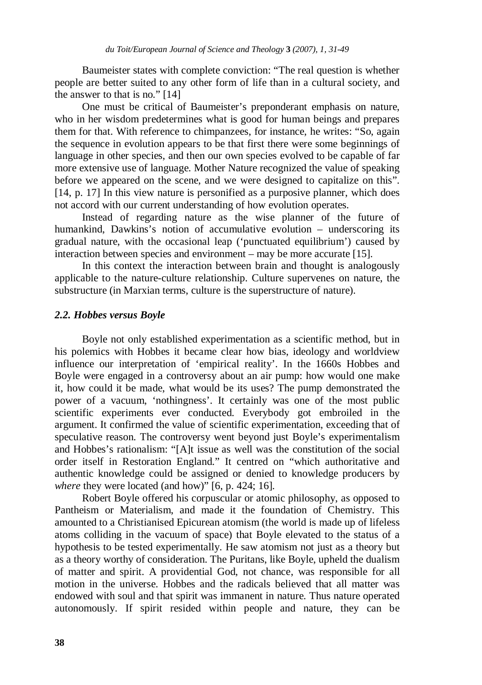Baumeister states with complete conviction: "The real question is whether people are better suited to any other form of life than in a cultural society, and the answer to that is no." [14]

 One must be critical of Baumeister's preponderant emphasis on nature, who in her wisdom predetermines what is good for human beings and prepares them for that. With reference to chimpanzees, for instance, he writes: "So, again the sequence in evolution appears to be that first there were some beginnings of language in other species, and then our own species evolved to be capable of far more extensive use of language. Mother Nature recognized the value of speaking before we appeared on the scene, and we were designed to capitalize on this". [14, p. 17] In this view nature is personified as a purposive planner, which does not accord with our current understanding of how evolution operates.

 Instead of regarding nature as the wise planner of the future of humankind, Dawkins's notion of accumulative evolution – underscoring its gradual nature, with the occasional leap ('punctuated equilibrium') caused by interaction between species and environment – may be more accurate [15].

 In this context the interaction between brain and thought is analogously applicable to the nature-culture relationship. Culture supervenes on nature, the substructure (in Marxian terms, culture is the superstructure of nature).

#### *2.2. Hobbes versus Boyle*

 Boyle not only established experimentation as a scientific method, but in his polemics with Hobbes it became clear how bias, ideology and worldview influence our interpretation of 'empirical reality'. In the 1660s Hobbes and Boyle were engaged in a controversy about an air pump: how would one make it, how could it be made, what would be its uses? The pump demonstrated the power of a vacuum, 'nothingness'. It certainly was one of the most public scientific experiments ever conducted. Everybody got embroiled in the argument. It confirmed the value of scientific experimentation, exceeding that of speculative reason. The controversy went beyond just Boyle's experimentalism and Hobbes's rationalism: "[A]t issue as well was the constitution of the social order itself in Restoration England." It centred on "which authoritative and authentic knowledge could be assigned or denied to knowledge producers by *where* they were located (and how)" [6, p. 424; 16].

 Robert Boyle offered his corpuscular or atomic philosophy, as opposed to Pantheism or Materialism, and made it the foundation of Chemistry. This amounted to a Christianised Epicurean atomism (the world is made up of lifeless atoms colliding in the vacuum of space) that Boyle elevated to the status of a hypothesis to be tested experimentally. He saw atomism not just as a theory but as a theory worthy of consideration. The Puritans, like Boyle, upheld the dualism of matter and spirit. A providential God, not chance, was responsible for all motion in the universe. Hobbes and the radicals believed that all matter was endowed with soul and that spirit was immanent in nature. Thus nature operated autonomously. If spirit resided within people and nature, they can be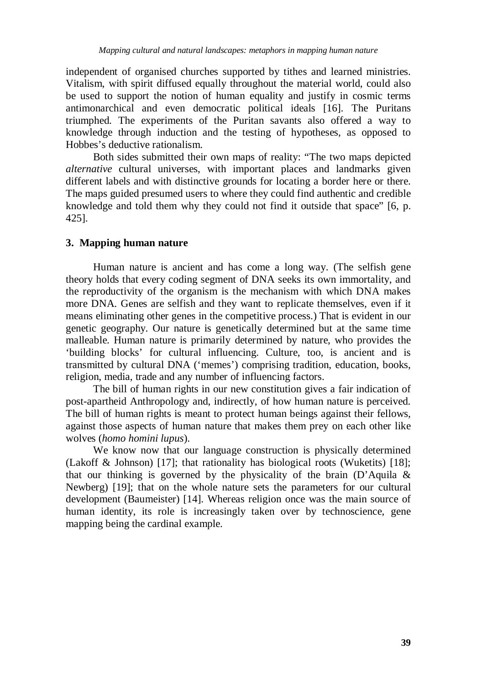independent of organised churches supported by tithes and learned ministries. Vitalism, with spirit diffused equally throughout the material world, could also be used to support the notion of human equality and justify in cosmic terms antimonarchical and even democratic political ideals [16]. The Puritans triumphed. The experiments of the Puritan savants also offered a way to knowledge through induction and the testing of hypotheses, as opposed to Hobbes's deductive rationalism.

 Both sides submitted their own maps of reality: "The two maps depicted *alternative* cultural universes, with important places and landmarks given different labels and with distinctive grounds for locating a border here or there. The maps guided presumed users to where they could find authentic and credible knowledge and told them why they could not find it outside that space" [6, p. 425].

### **3. Mapping human nature**

Human nature is ancient and has come a long way. (The selfish gene theory holds that every coding segment of DNA seeks its own immortality, and the reproductivity of the organism is the mechanism with which DNA makes more DNA. Genes are selfish and they want to replicate themselves, even if it means eliminating other genes in the competitive process.) That is evident in our genetic geography. Our nature is genetically determined but at the same time malleable. Human nature is primarily determined by nature, who provides the 'building blocks' for cultural influencing. Culture, too, is ancient and is transmitted by cultural DNA ('memes') comprising tradition, education, books, religion, media, trade and any number of influencing factors.

 The bill of human rights in our new constitution gives a fair indication of post-apartheid Anthropology and, indirectly, of how human nature is perceived. The bill of human rights is meant to protect human beings against their fellows, against those aspects of human nature that makes them prey on each other like wolves (*homo homini lupus*).

 We know now that our language construction is physically determined (Lakoff & Johnson) [17]; that rationality has biological roots (Wuketits) [18]; that our thinking is governed by the physicality of the brain  $(D^{\prime}$ Aquila & Newberg) [19]; that on the whole nature sets the parameters for our cultural development (Baumeister) [14]. Whereas religion once was the main source of human identity, its role is increasingly taken over by technoscience, gene mapping being the cardinal example.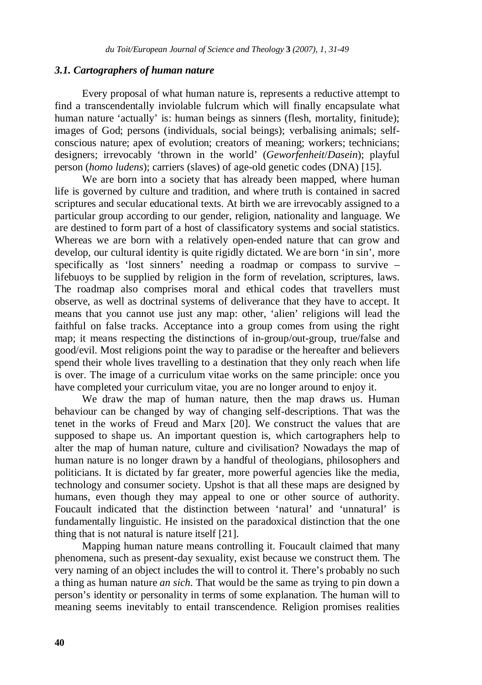#### *3.1. Cartographers of human nature*

 Every proposal of what human nature is, represents a reductive attempt to find a transcendentally inviolable fulcrum which will finally encapsulate what human nature 'actually' is: human beings as sinners (flesh, mortality, finitude); images of God; persons (individuals, social beings); verbalising animals; selfconscious nature; apex of evolution; creators of meaning; workers; technicians; designers; irrevocably 'thrown in the world' (*Geworfenheit*/*Dasein*); playful person (*homo ludens*); carriers (slaves) of age-old genetic codes (DNA) [15].

We are born into a society that has already been mapped, where human life is governed by culture and tradition, and where truth is contained in sacred scriptures and secular educational texts. At birth we are irrevocably assigned to a particular group according to our gender, religion, nationality and language. We are destined to form part of a host of classificatory systems and social statistics. Whereas we are born with a relatively open-ended nature that can grow and develop, our cultural identity is quite rigidly dictated. We are born 'in sin', more specifically as 'lost sinners' needing a roadmap or compass to survive – lifebuoys to be supplied by religion in the form of revelation, scriptures, laws. The roadmap also comprises moral and ethical codes that travellers must observe, as well as doctrinal systems of deliverance that they have to accept. It means that you cannot use just any map: other, 'alien' religions will lead the faithful on false tracks. Acceptance into a group comes from using the right map; it means respecting the distinctions of in-group/out-group, true/false and good/evil. Most religions point the way to paradise or the hereafter and believers spend their whole lives travelling to a destination that they only reach when life is over. The image of a curriculum vitae works on the same principle: once you have completed your curriculum vitae, you are no longer around to enjoy it.

 We draw the map of human nature, then the map draws us. Human behaviour can be changed by way of changing self-descriptions. That was the tenet in the works of Freud and Marx [20]. We construct the values that are supposed to shape us. An important question is, which cartographers help to alter the map of human nature, culture and civilisation? Nowadays the map of human nature is no longer drawn by a handful of theologians, philosophers and politicians. It is dictated by far greater, more powerful agencies like the media, technology and consumer society. Upshot is that all these maps are designed by humans, even though they may appeal to one or other source of authority. Foucault indicated that the distinction between 'natural' and 'unnatural' is fundamentally linguistic. He insisted on the paradoxical distinction that the one thing that is not natural is nature itself [21].

 Mapping human nature means controlling it. Foucault claimed that many phenomena, such as present-day sexuality, exist because we construct them. The very naming of an object includes the will to control it. There's probably no such a thing as human nature *an sich*. That would be the same as trying to pin down a person's identity or personality in terms of some explanation. The human will to meaning seems inevitably to entail transcendence. Religion promises realities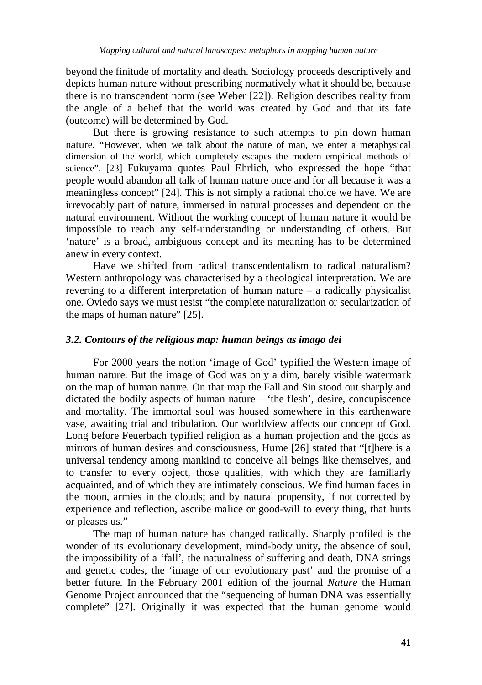beyond the finitude of mortality and death. Sociology proceeds descriptively and depicts human nature without prescribing normatively what it should be, because there is no transcendent norm (see Weber [22]). Religion describes reality from the angle of a belief that the world was created by God and that its fate (outcome) will be determined by God.

 But there is growing resistance to such attempts to pin down human nature. "However, when we talk about the nature of man, we enter a metaphysical dimension of the world, which completely escapes the modern empirical methods of science". [23] Fukuyama quotes Paul Ehrlich, who expressed the hope "that people would abandon all talk of human nature once and for all because it was a meaningless concept" [24]. This is not simply a rational choice we have. We are irrevocably part of nature, immersed in natural processes and dependent on the natural environment. Without the working concept of human nature it would be impossible to reach any self-understanding or understanding of others. But 'nature' is a broad, ambiguous concept and its meaning has to be determined anew in every context.

 Have we shifted from radical transcendentalism to radical naturalism? Western anthropology was characterised by a theological interpretation. We are reverting to a different interpretation of human nature – a radically physicalist one. Oviedo says we must resist "the complete naturalization or secularization of the maps of human nature" [25].

### *3.2. Contours of the religious map: human beings as imago dei*

 For 2000 years the notion 'image of God' typified the Western image of human nature. But the image of God was only a dim, barely visible watermark on the map of human nature. On that map the Fall and Sin stood out sharply and dictated the bodily aspects of human nature – 'the flesh', desire, concupiscence and mortality. The immortal soul was housed somewhere in this earthenware vase, awaiting trial and tribulation. Our worldview affects our concept of God. Long before Feuerbach typified religion as a human projection and the gods as mirrors of human desires and consciousness, Hume [26] stated that "[t]here is a universal tendency among mankind to conceive all beings like themselves, and to transfer to every object, those qualities, with which they are familiarly acquainted, and of which they are intimately conscious. We find human faces in the moon, armies in the clouds; and by natural propensity, if not corrected by experience and reflection, ascribe malice or good-will to every thing, that hurts or pleases us."

 The map of human nature has changed radically. Sharply profiled is the wonder of its evolutionary development, mind-body unity, the absence of soul, the impossibility of a 'fall', the naturalness of suffering and death, DNA strings and genetic codes, the 'image of our evolutionary past' and the promise of a better future. In the February 2001 edition of the journal *Nature* the Human Genome Project announced that the "sequencing of human DNA was essentially complete" [27]. Originally it was expected that the human genome would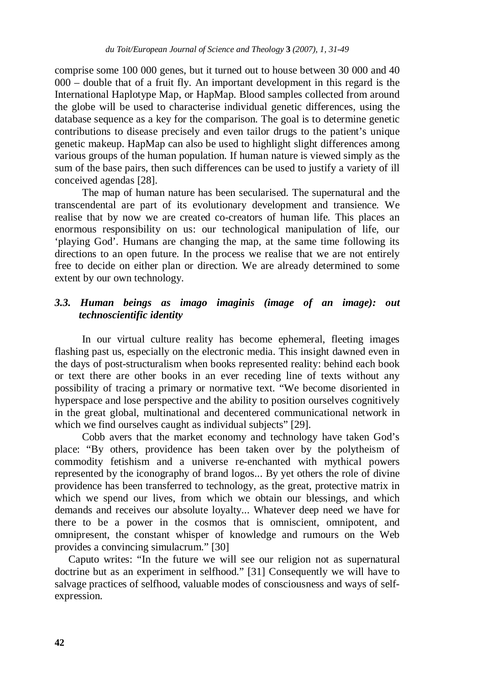comprise some 100 000 genes, but it turned out to house between 30 000 and 40 000 – double that of a fruit fly. An important development in this regard is the International Haplotype Map, or HapMap. Blood samples collected from around the globe will be used to characterise individual genetic differences, using the database sequence as a key for the comparison. The goal is to determine genetic contributions to disease precisely and even tailor drugs to the patient's unique genetic makeup. HapMap can also be used to highlight slight differences among various groups of the human population. If human nature is viewed simply as the sum of the base pairs, then such differences can be used to justify a variety of ill conceived agendas [28].

 The map of human nature has been secularised. The supernatural and the transcendental are part of its evolutionary development and transience. We realise that by now we are created co-creators of human life. This places an enormous responsibility on us: our technological manipulation of life, our 'playing God'. Humans are changing the map, at the same time following its directions to an open future. In the process we realise that we are not entirely free to decide on either plan or direction. We are already determined to some extent by our own technology.

## *3.3. Human beings as imago imaginis (image of an image): out technoscientific identity*

In our virtual culture reality has become ephemeral, fleeting images flashing past us, especially on the electronic media. This insight dawned even in the days of post-structuralism when books represented reality: behind each book or text there are other books in an ever receding line of texts without any possibility of tracing a primary or normative text. "We become disoriented in hyperspace and lose perspective and the ability to position ourselves cognitively in the great global, multinational and decentered communicational network in which we find ourselves caught as individual subjects" [29].

Cobb avers that the market economy and technology have taken God's place: "By others, providence has been taken over by the polytheism of commodity fetishism and a universe re-enchanted with mythical powers represented by the iconography of brand logos... By yet others the role of divine providence has been transferred to technology, as the great, protective matrix in which we spend our lives, from which we obtain our blessings, and which demands and receives our absolute loyalty... Whatever deep need we have for there to be a power in the cosmos that is omniscient, omnipotent, and omnipresent, the constant whisper of knowledge and rumours on the Web provides a convincing simulacrum." [30]

Caputo writes: "In the future we will see our religion not as supernatural doctrine but as an experiment in selfhood." [31] Consequently we will have to salvage practices of selfhood, valuable modes of consciousness and ways of selfexpression.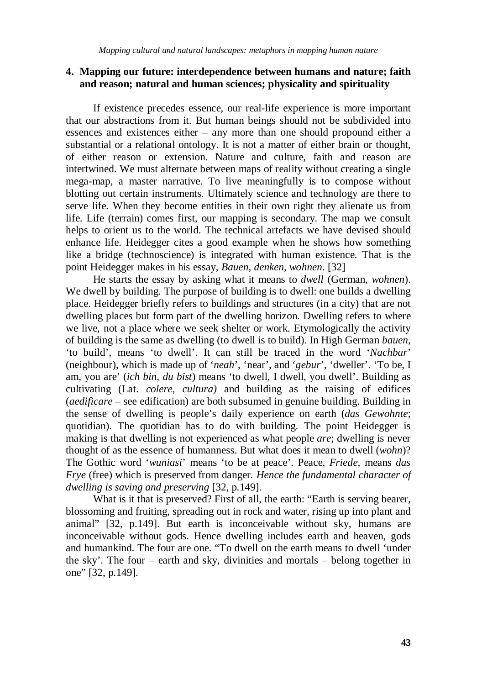## **4. Mapping our future: interdependence between humans and nature; faith and reason; natural and human sciences; physicality and spirituality**

 If existence precedes essence, our real-life experience is more important that our abstractions from it. But human beings should not be subdivided into essences and existences either – any more than one should propound either a substantial or a relational ontology. It is not a matter of either brain or thought, of either reason or extension. Nature and culture, faith and reason are intertwined. We must alternate between maps of reality without creating a single mega-map, a master narrative. To live meaningfully is to compose without blotting out certain instruments. Ultimately science and technology are there to serve life. When they become entities in their own right they alienate us from life. Life (terrain) comes first, our mapping is secondary. The map we consult helps to orient us to the world. The technical artefacts we have devised should enhance life. Heidegger cites a good example when he shows how something like a bridge (technoscience) is integrated with human existence. That is the point Heidegger makes in his essay, *Bauen, denken, wohnen*. [32]

 He starts the essay by asking what it means to *dwell* (German, *wohnen*). We dwell by building. The purpose of building is to dwell: one builds a dwelling place. Heidegger briefly refers to buildings and structures (in a city) that are not dwelling places but form part of the dwelling horizon. Dwelling refers to where we live, not a place where we seek shelter or work. Etymologically the activity of building is the same as dwelling (to dwell is to build). In High German *bauen*, 'to build', means 'to dwell'. It can still be traced in the word '*Nachbar*' (neighbour), which is made up of '*neah*', 'near', and '*gebur*', 'dweller'. 'To be, I am, you are' (*ich bin, du bist*) means 'to dwell, I dwell, you dwell'. Building as cultivating (Lat. *colere, cultura)* and building as the raising of edifices (*aedificare* – see edification) are both subsumed in genuine building. Building in the sense of dwelling is people's daily experience on earth (*das Gewohnte*; quotidian). The quotidian has to do with building. The point Heidegger is making is that dwelling is not experienced as what people *are*; dwelling is never thought of as the essence of humanness. But what does it mean to dwell (*wohn*)? The Gothic word '*wuniasi*' means 'to be at peace'. Peace, *Friede*, means *das Frye* (free) which is preserved from danger*. Hence the fundamental character of dwelling is saving and preserving* [32, p.149].

 What is it that is preserved? First of all, the earth: "Earth is serving bearer, blossoming and fruiting, spreading out in rock and water, rising up into plant and animal" [32, p.149]. But earth is inconceivable without sky, humans are inconceivable without gods. Hence dwelling includes earth and heaven, gods and humankind. The four are one. "To dwell on the earth means to dwell 'under the sky'. The four – earth and sky, divinities and mortals – belong together in one" [32, p.149].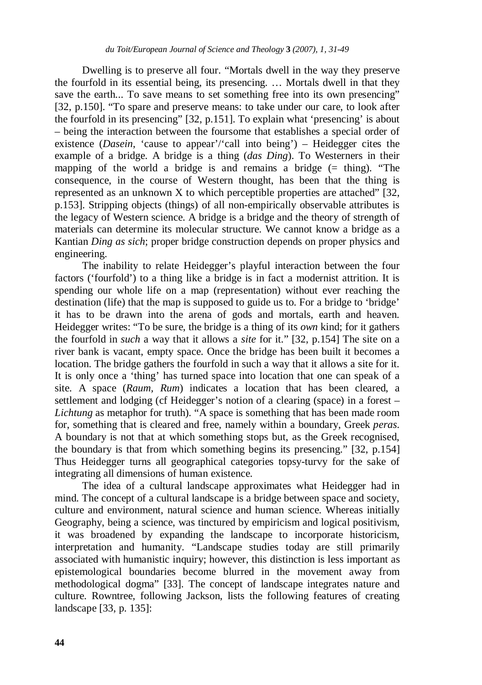Dwelling is to preserve all four. "Mortals dwell in the way they preserve the fourfold in its essential being, its presencing. … Mortals dwell in that they save the earth... To save means to set something free into its own presencing" [32, p.150]. "To spare and preserve means: to take under our care, to look after the fourfold in its presencing" [32, p.151]. To explain what 'presencing' is about – being the interaction between the foursome that establishes a special order of existence (*Dasein*, 'cause to appear'/'call into being') – Heidegger cites the example of a bridge. A bridge is a thing (*das Ding*). To Westerners in their mapping of the world a bridge is and remains a bridge  $(=$  thing). "The consequence, in the course of Western thought, has been that the thing is represented as an unknown  $X$  to which perceptible properties are attached" [32, p.153]. Stripping objects (things) of all non-empirically observable attributes is the legacy of Western science. A bridge is a bridge and the theory of strength of materials can determine its molecular structure. We cannot know a bridge as a Kantian *Ding as sich*; proper bridge construction depends on proper physics and engineering.

 The inability to relate Heidegger's playful interaction between the four factors ('fourfold') to a thing like a bridge is in fact a modernist attrition. It is spending our whole life on a map (representation) without ever reaching the destination (life) that the map is supposed to guide us to. For a bridge to 'bridge' it has to be drawn into the arena of gods and mortals, earth and heaven. Heidegger writes: "To be sure, the bridge is a thing of its *own* kind; for it gathers the fourfold in *such* a way that it allows a *site* for it." [32, p.154] The site on a river bank is vacant, empty space. Once the bridge has been built it becomes a location. The bridge gathers the fourfold in such a way that it allows a site for it. It is only once a 'thing' has turned space into location that one can speak of a site. A space (*Raum, Rum*) indicates a location that has been cleared, a settlement and lodging (cf Heidegger's notion of a clearing (space) in a forest – *Lichtung* as metaphor for truth). "A space is something that has been made room for, something that is cleared and free, namely within a boundary, Greek *peras.*  A boundary is not that at which something stops but, as the Greek recognised, the boundary is that from which something begins its presencing." [32, p.154] Thus Heidegger turns all geographical categories topsy-turvy for the sake of integrating all dimensions of human existence.

 The idea of a cultural landscape approximates what Heidegger had in mind. The concept of a cultural landscape is a bridge between space and society, culture and environment, natural science and human science. Whereas initially Geography, being a science, was tinctured by empiricism and logical positivism, it was broadened by expanding the landscape to incorporate historicism, interpretation and humanity. "Landscape studies today are still primarily associated with humanistic inquiry; however, this distinction is less important as epistemological boundaries become blurred in the movement away from methodological dogma" [33]. The concept of landscape integrates nature and culture. Rowntree, following Jackson, lists the following features of creating landscape [33, p. 135]: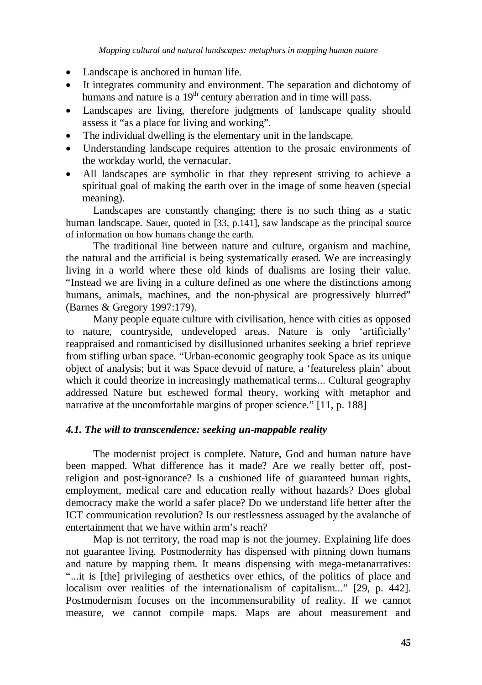- Landscape is anchored in human life.
- It integrates community and environment. The separation and dichotomy of humans and nature is a  $19<sup>th</sup>$  century aberration and in time will pass.
- Landscapes are living, therefore judgments of landscape quality should assess it "as a place for living and working".
- The individual dwelling is the elementary unit in the landscape.
- Understanding landscape requires attention to the prosaic environments of the workday world, the vernacular.
- All landscapes are symbolic in that they represent striving to achieve a spiritual goal of making the earth over in the image of some heaven (special meaning).

 Landscapes are constantly changing; there is no such thing as a static human landscape. Sauer, quoted in [33, p.141], saw landscape as the principal source of information on how humans change the earth.

 The traditional line between nature and culture, organism and machine, the natural and the artificial is being systematically erased. We are increasingly living in a world where these old kinds of dualisms are losing their value. "Instead we are living in a culture defined as one where the distinctions among humans, animals, machines, and the non-physical are progressively blurred" (Barnes & Gregory 1997:179).

 Many people equate culture with civilisation, hence with cities as opposed to nature, countryside, undeveloped areas. Nature is only 'artificially' reappraised and romanticised by disillusioned urbanites seeking a brief reprieve from stifling urban space. "Urban-economic geography took Space as its unique object of analysis; but it was Space devoid of nature, a 'featureless plain' about which it could theorize in increasingly mathematical terms... Cultural geography addressed Nature but eschewed formal theory, working with metaphor and narrative at the uncomfortable margins of proper science." [11, p. 188]

## *4.1. The will to transcendence: seeking un-mappable reality*

The modernist project is complete. Nature, God and human nature have been mapped. What difference has it made? Are we really better off, postreligion and post-ignorance? Is a cushioned life of guaranteed human rights, employment, medical care and education really without hazards? Does global democracy make the world a safer place? Do we understand life better after the ICT communication revolution? Is our restlessness assuaged by the avalanche of entertainment that we have within arm's reach?

Map is not territory, the road map is not the journey. Explaining life does not guarantee living. Postmodernity has dispensed with pinning down humans and nature by mapping them. It means dispensing with mega-metanarratives: "...it is [the] privileging of aesthetics over ethics, of the politics of place and localism over realities of the internationalism of capitalism..." [29, p. 442]. Postmodernism focuses on the incommensurability of reality. If we cannot measure, we cannot compile maps. Maps are about measurement and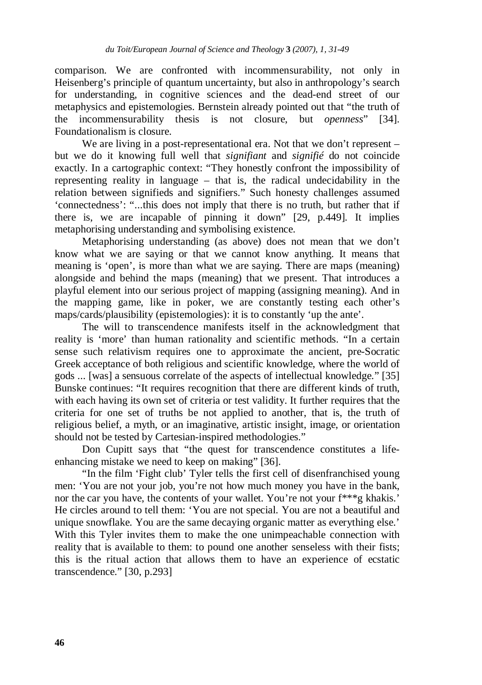comparison. We are confronted with incommensurability, not only in Heisenberg's principle of quantum uncertainty, but also in anthropology's search for understanding, in cognitive sciences and the dead-end street of our metaphysics and epistemologies. Bernstein already pointed out that "the truth of the incommensurability thesis is not closure, but *openness*" [34]. Foundationalism is closure.

We are living in a post-representational era. Not that we don't represent – but we do it knowing full well that *signifiant* and *signifié* do not coincide exactly. In a cartographic context: "They honestly confront the impossibility of representing reality in language – that is, the radical undecidability in the relation between signifieds and signifiers." Such honesty challenges assumed 'connectedness': "...this does not imply that there is no truth, but rather that if there is, we are incapable of pinning it down" [29, p.449]. It implies metaphorising understanding and symbolising existence.

Metaphorising understanding (as above) does not mean that we don't know what we are saying or that we cannot know anything. It means that meaning is 'open', is more than what we are saying. There are maps (meaning) alongside and behind the maps (meaning) that we present. That introduces a playful element into our serious project of mapping (assigning meaning). And in the mapping game, like in poker, we are constantly testing each other's maps/cards/plausibility (epistemologies): it is to constantly 'up the ante'.

The will to transcendence manifests itself in the acknowledgment that reality is 'more' than human rationality and scientific methods. "In a certain sense such relativism requires one to approximate the ancient, pre-Socratic Greek acceptance of both religious and scientific knowledge, where the world of gods ... [was] a sensuous correlate of the aspects of intellectual knowledge." [35] Bunske continues: "It requires recognition that there are different kinds of truth, with each having its own set of criteria or test validity. It further requires that the criteria for one set of truths be not applied to another, that is, the truth of religious belief, a myth, or an imaginative, artistic insight, image, or orientation should not be tested by Cartesian-inspired methodologies."

Don Cupitt says that "the quest for transcendence constitutes a lifeenhancing mistake we need to keep on making" [36].

"In the film 'Fight club' Tyler tells the first cell of disenfranchised young men: 'You are not your job, you're not how much money you have in the bank, nor the car you have, the contents of your wallet. You're not your f\*\*\*g khakis.' He circles around to tell them: 'You are not special. You are not a beautiful and unique snowflake. You are the same decaying organic matter as everything else.' With this Tyler invites them to make the one unimpeachable connection with reality that is available to them: to pound one another senseless with their fists; this is the ritual action that allows them to have an experience of ecstatic transcendence." [30, p.293]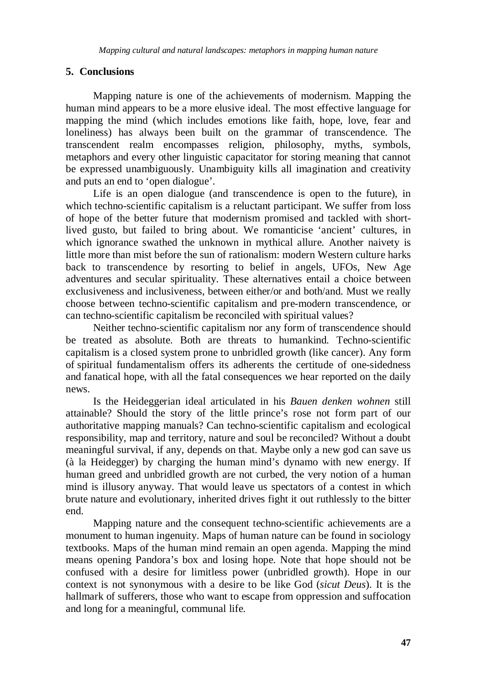## **5. Conclusions**

Mapping nature is one of the achievements of modernism. Mapping the human mind appears to be a more elusive ideal. The most effective language for mapping the mind (which includes emotions like faith, hope, love, fear and loneliness) has always been built on the grammar of transcendence. The transcendent realm encompasses religion, philosophy, myths, symbols, metaphors and every other linguistic capacitator for storing meaning that cannot be expressed unambiguously. Unambiguity kills all imagination and creativity and puts an end to 'open dialogue'.

Life is an open dialogue (and transcendence is open to the future), in which techno-scientific capitalism is a reluctant participant. We suffer from loss of hope of the better future that modernism promised and tackled with shortlived gusto, but failed to bring about. We romanticise 'ancient' cultures, in which ignorance swathed the unknown in mythical allure. Another naivety is little more than mist before the sun of rationalism: modern Western culture harks back to transcendence by resorting to belief in angels, UFOs, New Age adventures and secular spirituality. These alternatives entail a choice between exclusiveness and inclusiveness, between either/or and both/and. Must we really choose between techno-scientific capitalism and pre-modern transcendence, or can techno-scientific capitalism be reconciled with spiritual values?

Neither techno-scientific capitalism nor any form of transcendence should be treated as absolute. Both are threats to humankind. Techno-scientific capitalism is a closed system prone to unbridled growth (like cancer). Any form of spiritual fundamentalism offers its adherents the certitude of one-sidedness and fanatical hope, with all the fatal consequences we hear reported on the daily news.

Is the Heideggerian ideal articulated in his *Bauen denken wohnen* still attainable? Should the story of the little prince's rose not form part of our authoritative mapping manuals? Can techno-scientific capitalism and ecological responsibility, map and territory, nature and soul be reconciled? Without a doubt meaningful survival, if any, depends on that. Maybe only a new god can save us (à la Heidegger) by charging the human mind's dynamo with new energy. If human greed and unbridled growth are not curbed, the very notion of a human mind is illusory anyway. That would leave us spectators of a contest in which brute nature and evolutionary, inherited drives fight it out ruthlessly to the bitter end.

Mapping nature and the consequent techno-scientific achievements are a monument to human ingenuity. Maps of human nature can be found in sociology textbooks. Maps of the human mind remain an open agenda. Mapping the mind means opening Pandora's box and losing hope. Note that hope should not be confused with a desire for limitless power (unbridled growth). Hope in our context is not synonymous with a desire to be like God (*sicut Deus*). It is the hallmark of sufferers, those who want to escape from oppression and suffocation and long for a meaningful, communal life.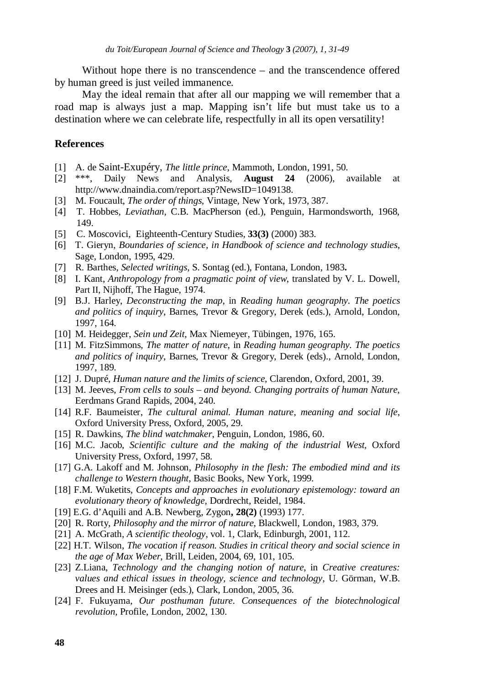Without hope there is no transcendence – and the transcendence offered by human greed is just veiled immanence.

May the ideal remain that after all our mapping we will remember that a road map is always just a map. Mapping isn't life but must take us to a destination where we can celebrate life, respectfully in all its open versatility!

#### **References**

- [1] A. de Saint-Exupéry, *The little prince*, Mammoth, London, 1991, 50.
- [2] \*\*\*, Daily News and Analysis, **August 24** (2006), available at http://www.dnaindia.com/report.asp?NewsID=1049138.
- [3] M. Foucault, *The order of things*, Vintage, New York, 1973, 387.
- [4] T. Hobbes, *Leviathan*, C.B. MacPherson (ed.), Penguin, Harmondsworth, 1968, 149.
- [5] C. Moscovici, Eighteenth-Century Studies, **33(3)** (2000) 383.
- [6] T. Gieryn, *Boundaries of science, in Handbook of science and technology studies*, Sage, London, 1995, 429.
- [7] R. Barthes, *Selected writings,* S. Sontag (ed.), Fontana, London, 1983**.**
- [8] I. Kant, *Anthropology from a pragmatic point of view*, translated by V. L. Dowell, Part II, Nijhoff, The Hague, 1974.
- [9] B.J. Harley, *Deconstructing the map*, in *Reading human geography. The poetics and politics of inquiry*, Barnes, Trevor & Gregory, Derek (eds.), Arnold, London, 1997, 164.
- [10] M. Heidegger, *Sein und Zeit,* Max Niemeyer, Tübingen, 1976, 165.
- [11] M. FitzSimmons, *The matter of nature*, in *Reading human geography. The poetics and politics of inquiry*, Barnes, Trevor & Gregory, Derek (eds)., Arnold, London, 1997, 189.
- [12] J. Dupré, *Human nature and the limits of science*, Clarendon, Oxford, 2001, 39.
- [13] M. Jeeves, *From cells to souls and beyond. Changing portraits of human Nature*, Eerdmans Grand Rapids, 2004, 240.
- [14] R.F. Baumeister, *The cultural animal. Human nature, meaning and social life*, Oxford University Press, Oxford, 2005, 29.
- [15] R. Dawkins, *The blind watchmaker*, Penguin, London, 1986, 60.
- [16] M.C. Jacob, *Scientific culture and the making of the industrial West*, Oxford University Press, Oxford, 1997, 58.
- [17] G.A. Lakoff and M. Johnson, *Philosophy in the flesh: The embodied mind and its challenge to Western thought*, Basic Books, New York, 1999.
- [18] F.M. Wuketits, *Concepts and approaches in evolutionary epistemology: toward an evolutionary theory of knowledge,* Dordrecht, Reidel, 1984.
- [19] E.G. d'Aquili and A.B. Newberg, Zygon**, 28(2)** (1993) 177.
- [20] R. Rorty, *Philosophy and the mirror of nature*, Blackwell, London, 1983, 379.
- [21] A. McGrath, *A scientific theology*, vol. 1, Clark, Edinburgh, 2001, 112.
- [22] H.T. Wilson, *The vocation if reason. Studies in critical theory and social science in the age of Max Weber*, Brill, Leiden, 2004, 69, 101, 105.
- [23] Z.Liana, *Technology and the changing notion of nature*, in *Creative creatures: values and ethical issues in theology, science and technology*, U. Görman, W.B. Drees and H. Meisinger (eds.), Clark, London, 2005, 36.
- [24] F. Fukuyama, *Our posthuman future. Consequences of the biotechnological revolution,* Profile, London, 2002, 130.